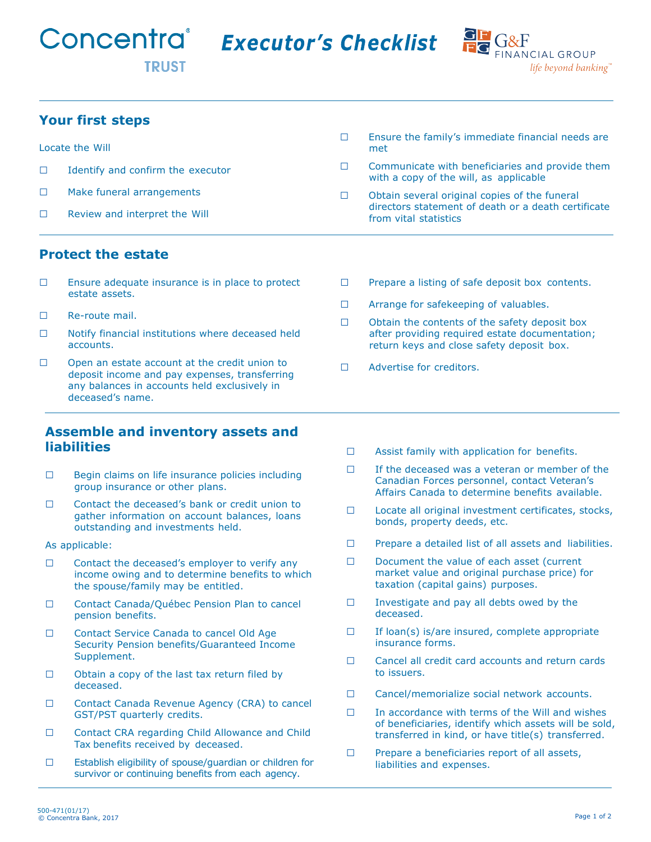**Executor's Checklist** 



# **Your first steps**

Locate the Will □ Identify and confirm the executor □ Make funeral arrangements □ Review and interpret the Will  $\square$  Ensure the family's immediate financial needs are met  $\Box$  Communicate with beneficiaries and provide them with a copy of the will, as applicable □ Obtain several original copies of the funeral directors statement of death or a death certificate from vital statistics

### **Protect the estate**

- $\Box$  Ensure adequate insurance is in place to protect estate assets.
- □ Re-route mail.
- $\Box$  Notify financial institutions where deceased held accounts.
- □ Open an estate account at the credit union to deposit income and pay expenses, transferring any balances in accounts held exclusively in deceased's name.

#### **Assemble and inventory assets and liabilities**

- □ Begin claims on life insurance policies including group insurance or other plans.
- □ Contact the deceased's bank or credit union to gather information on account balances, loans outstanding and investments held.
- As applicable:
- $\Box$  Contact the deceased's employer to verify any income owing and to determine benefits to which the spouse/family may be entitled.
- □ Contact Canada/Québec Pension Plan to cancel pension benefits.
- □ Contact Service Canada to cancel Old Age Security Pension benefits/Guaranteed Income Supplement.
- $\Box$  Obtain a copy of the last tax return filed by deceased.
- □ Contact Canada Revenue Agency (CRA) to cancel GST/PST quarterly credits.
- □ Contact CRA regarding Child Allowance and Child Tax benefits received by deceased.
- □ Establish eligibility of spouse/guardian or children for survivor or continuing benefits from each agency.
- □ Prepare a listing of safe deposit box contents.
- □ Arrange for safekeeping of valuables.
- $\Box$  Obtain the contents of the safety deposit box after providing required estate documentation; return keys and close safety deposit box.
- □ Advertise for creditors.
- □ Assist family with application for benefits.
- $\Box$  If the deceased was a veteran or member of the Canadian Forces personnel, contact Veteran's Affairs Canada to determine benefits available.
- □ Locate all original investment certificates, stocks, bonds, property deeds, etc.
- □ Prepare a detailed list of all assets and liabilities.
- □ Document the value of each asset (current market value and original purchase price) for taxation (capital gains) purposes.
- □ Investigate and pay all debts owed by the deceased.
- $\square$  If loan(s) is/are insured, complete appropriate insurance forms.
- □ Cancel all credit card accounts and return cards to issuers.
- □ Cancel/memorialize social network accounts.
- □ In accordance with terms of the Will and wishes of beneficiaries, identify which assets will be sold, transferred in kind, or have title(s) transferred.
- □ Prepare a beneficiaries report of all assets, liabilities and expenses.